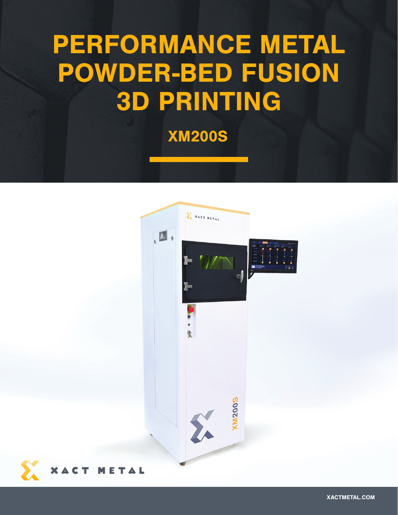## PERFORMANCE METAL POWDER-BED FUSION 3D PRINTING

XM200S